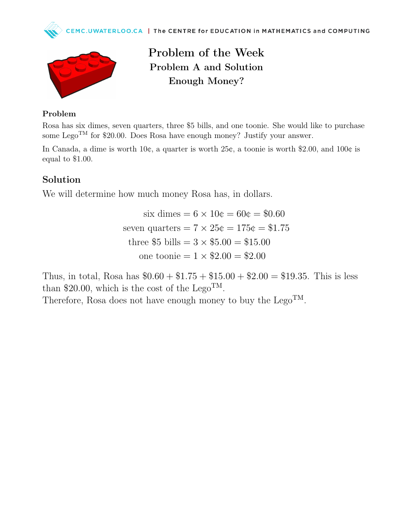



Problem of the Week Problem A and Solution Enough Money?

## Problem

Rosa has six dimes, seven quarters, three \$5 bills, and one toonie. She would like to purchase some Lego<sup>TM</sup> for \$20.00. Does Rosa have enough money? Justify your answer.

In Canada, a dime is worth 10¢, a quarter is worth 25¢, a toonie is worth \$2.00, and 100¢ is equal to \$1.00.

## Solution

We will determine how much money Rosa has, in dollars.

six dimes  $= 6 \times 10 \phi = 60 \phi = 0.60$ seven quarters  $= 7 \times 25\phi = 175\phi = $1.75$ three \$5 bills =  $3 \times $5.00 = $15.00$ one toonie  $= 1 \times $2.00 = $2.00$ 

Thus, in total, Rosa has  $$0.60 + $1.75 + $15.00 + $2.00 = $19.35$ . This is less than \$20.00, which is the cost of the Lego<sup>TM</sup>.

Therefore, Rosa does not have enough money to buy the  $Lego<sup>TM</sup>$ .